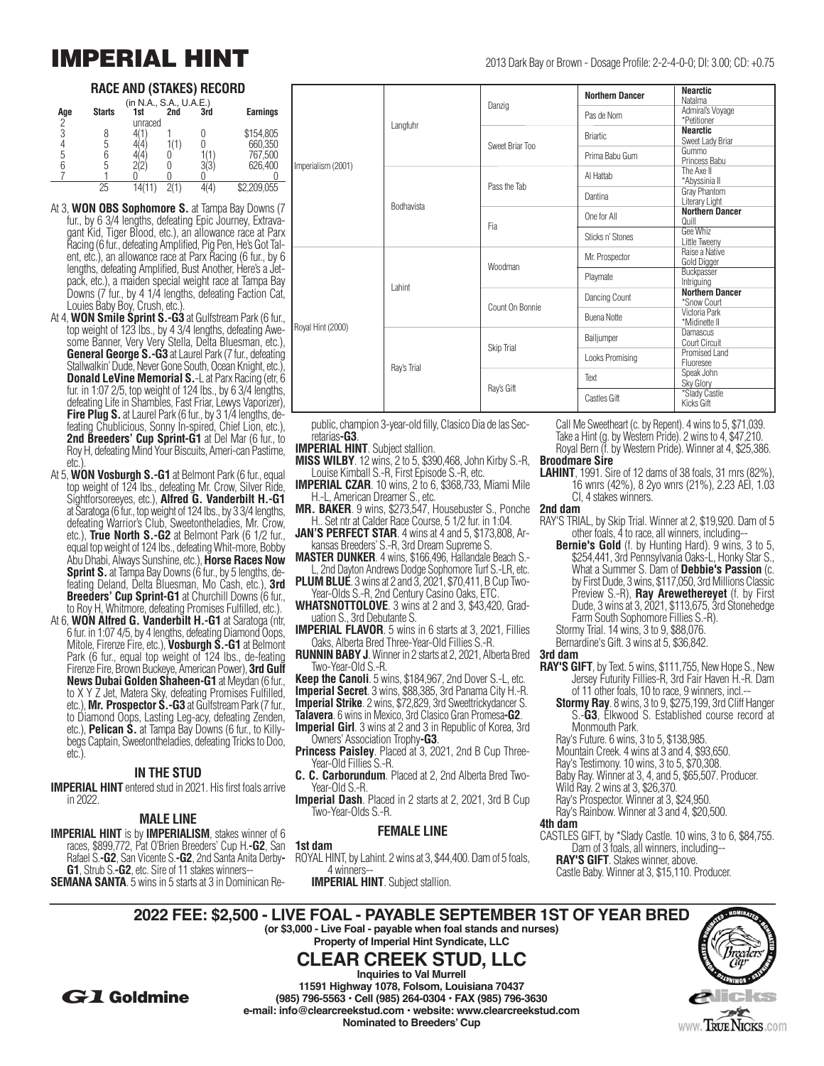### **RACE AND (STAKES) RECORD**

| (in N.A., S.A., U.A.E.) |               |     |     |     |                 |  |  |  |
|-------------------------|---------------|-----|-----|-----|-----------------|--|--|--|
| Age                     | <b>Starts</b> | 1st | 2nd | 3rd | <b>Earnings</b> |  |  |  |
| 2                       | unraced       |     |     |     |                 |  |  |  |
|                         |               |     |     |     | \$154,805       |  |  |  |
|                         |               |     |     |     | 660,350         |  |  |  |
| 5                       |               |     |     |     | 767,500         |  |  |  |
|                         |               |     |     |     | 626,400         |  |  |  |
|                         |               |     |     |     |                 |  |  |  |
|                         | 25            |     |     |     | 2,209,055       |  |  |  |

- At 3, **WON OBS Sophomore S.** at Tampa Bay Downs (7 fur., by 6 3/4 lengths, defeating Epic Journey, Extravagant Kid, Tiger Blood, etc.), an allowance race at Parx Racing (6 fur., defeating Amplified, Pig Pen, He's Got Talent, etc.), an allowance race at Parx Racing (6 fur., by 6 lengths, defeating Amplified, Bust Another, Here's a Jetpack, etc.), a maiden special weight race at Tampa Bay Downs (7 fur., by 4 1/4 lengths, defeating Faction Cat, Louies Baby Boy, Crush, etc.).
- At 4, **WON Smile Sprint S.-G3** at Gulfstream Park (6 fur., top weight of 123 lbs., by 4 3/4 lengths, defeating Awesome Banner, Very Very Stella, Delta Bluesman, etc.), **General George S.-G3** at Laurel Park (7 fur., defeating Stallwalkin' Dude, Never Gone South, Ocean Knight, etc.) **Donald LeVine Memorial S.-L at Parx Racing (etr, 6** fur. in 1:07 2/5, top weight of 124 lbs., by 6 3/4 lengths, defeating Life in Shambles, Fast Friar, Lewys Vaporizer), **Fire Plug S.** at Laurel Park (6 fur., by 3 1/4 lengths, defeating Chublicious, Sonny In-spired, Chief Lion, etc.), 2nd Breeders' Cup Sprint-G1 at Del Mar (6 fur., to Roy H, defeating Mind Your Biscuits, Ameri-can Pastime, etc.).
- At 5, **WON Vosburgh S.-G1** at Belmont Park (6 fur., equal top weight of 124 lbs., defeating Mr. Crow, Silver Ride, Sightforsoreeyes, etc.), **Alfred G. Vanderbilt H.-G1** at Saratoga (6 fur., top weight of 124 lbs., by 3 3/4 lengths, defeating Warrior's Club, Sweetontheladies, Mr. Crow, etc.), **True North S.-G2** at Belmont Park (6 1/2 fur., equal top weight of 124 lbs., defeating Whit-more, Bobby Abu Dhabi, Always Sunshine, etc.), **Horse Races Now Sprint S.** at Tampa Bay Downs (6 fur., by 5 lengths, defeating Deland, Delta Bluesman, Mo Cash, etc.), **3rd Breeders' Cup Sprint-G1** at Churchill Downs (6 fur., to Roy H, Whitmore, defeating Promises Fulfilled, etc.).
- At 6, **WON Alfred G. Vanderbilt H.-G1** at Saratoga (ntr, 6 fur. in 1:07 4/5, by 4 lengths, defeating Diamond Oops, Mitole, Firenze Fire, etc.), **Vosburgh S.-G1** at Belmont Park (6 fur., equal top weight of 124 lbs., de-feating Firenze Fire, Brown Buckeye, American Power), **3rd Gulf News Dubai Golden Shaheen-G1** at Meydan (6 fur., to X Y Z Jet, Matera Sky, defeating Promises Fulfilled, etc.), **Mr. Prospector S.-G3** at Gulfstream Park (7 fur., to Diamond Oops, Lasting Leg-acy, defeating Zenden, etc.), **Pelican S.** at Tampa Bay Downs (6 fur., to Killybegs Captain, Sweetontheladies, defeating Tricks to Doo, etc.).

#### **IN THE STUD**

**IMPERIAL HINT** entered stud in 2021. His first foals arrive in 2022.

#### **MALE LINE**

**IMPERIAL HINT** is by **IMPERIALISM**, stakes winner of 6 races, \$899,772, Pat O'Brien Breeders' Cup H.**-G2**, San Rafael S.**-G2**, San Vicente S.**-G2**, 2nd Santa Anita Derby**- G1**, Strub S.**-G2**, etc. Sire of 11 stakes winners-- **SEMANA SANTA**. 5 wins in 5 starts at 3 in Dominican Re-

|                    | Langfuhr    | Danzig                          | <b>Northern Dancer</b> | <b>Nearctic</b>                       |
|--------------------|-------------|---------------------------------|------------------------|---------------------------------------|
|                    |             |                                 |                        | Natalma                               |
|                    |             |                                 | Pas de Nom             | Admiral's Voyage                      |
|                    |             |                                 |                        | *Petitioner                           |
|                    |             | Sweet Briar Too<br>Pass the Tab | <b>Briartic</b>        | <b>Nearctic</b>                       |
|                    |             |                                 |                        | Sweet Lady Briar<br>Gummo             |
|                    |             |                                 | Prima Babu Gum         | Princess Babu                         |
| Imperialism (2001) |             |                                 |                        | The Axe II                            |
|                    |             |                                 | Al Hattab              | *Abyssinia II                         |
|                    | Bodhavista  |                                 |                        | Gray Phantom                          |
|                    |             |                                 | Dantina                | Literary Light                        |
|                    |             | Fia                             | One for All            | <b>Northern Dancer</b>                |
|                    |             |                                 |                        | Quill                                 |
|                    |             |                                 | Sticks n' Stones       | Gee Whiz                              |
|                    |             |                                 |                        | Little Tweeny                         |
|                    |             |                                 | Mr. Prospector         | Raise a Native                        |
|                    |             | Woodman                         |                        | Gold Digger                           |
|                    |             |                                 | Playmate               | Buckpasser                            |
|                    | Lahint      |                                 |                        | Intriguing                            |
|                    |             |                                 | Dancing Count          | <b>Northern Dancer</b><br>*Snow Court |
|                    |             | Count On Bonnie                 |                        | Victoria Park                         |
|                    |             |                                 | <b>Buena Notte</b>     | *Midinette II                         |
| Royal Hint (2000)  |             |                                 |                        | <b>Damascus</b>                       |
|                    | Ray's Trial |                                 | Bailjumper             | Court Circuit                         |
|                    |             | Skip Trial                      |                        | Promised Land                         |
|                    |             |                                 | Looks Promising        | Fluoresee                             |
|                    |             |                                 | Text                   | Speak John                            |
|                    |             | Ray's Gift                      |                        | Sky Glory                             |
|                    |             |                                 | Castles Gift           | *Slady Castle                         |
|                    |             |                                 |                        | <b>Kicks Gift</b>                     |
|                    |             |                                 |                        |                                       |

public, champion 3-year-old filly, Clasico Dia de las Secretarias**-G3**.

- **IMPERIAL HINT**. Subject stallion.
- **MISS WILBY**. 12 wins, 2 to 5, \$390,468, John Kirby S.-R, Louise Kimball S.-R, First Episode S.-R, etc.
- **IMPERIAL CZAR**. 10 wins, 2 to 6, \$368,733, Miami Mile H.-L, American Dreamer S., etc.
- **MR. BAKER**. 9 wins, \$273,547, Housebuster S., Ponche H.. Set ntr at Calder Race Course, 5 1/2 fur. in 1:04.
- **JAN'S PERFECT STAR**. 4 wins at 4 and 5, \$173,808, Arkansas Breeders' S.-R, 3rd Dream Supreme S.
- **MASTER DUNKER**. 4 wins, \$166,496, Hallandale Beach S.- L, 2nd Dayton Andrews Dodge Sophomore Turf S.-LR, etc.
- **PLUM BLUE**. 3 wins at 2 and 3, 2021, \$70,411, B Cup Two-Year-Olds S.-R, 2nd Century Casino Oaks, ETC.
- **WHATSNOTTOLOVE**. 3 wins at 2 and 3, \$43,420, Graduation S., 3rd Debutante S.
- **IMPERIAL FLAVOR**. 5 wins in 6 starts at 3, 2021, Fillies Oaks, Alberta Bred Three-Year-Old Fillies S.-R.
- **RUNNIN BABY J**. Winner in 2 starts at 2, 2021, Alberta Bred **3rd dam** Two-Year-Old S.-R.
- **Keep the Canoli**. 5 wins, \$184,967, 2nd Dover S.-L, etc. **Imperial Secret**. 3 wins, \$88,385, 3rd Panama City H.-R.
- **Imperial Strike**. 2 wins, \$72,829, 3rd Sweettrickydancer S.
- **Talavera**. 6 wins in Mexico, 3rd Clasico Gran Promesa**-G2**.

**Imperial Girl**. 3 wins at 2 and 3 in Republic of Korea, 3rd Owners' Association Trophy**-G3**.

**Princess Paisley**. Placed at 3, 2021, 2nd B Cup Three-Year-Old Fillies S.-R.

**C. C. Carborundum**. Placed at 2, 2nd Alberta Bred Two-Year-Old S.-R.

**Imperial Dash**. Placed in 2 starts at 2, 2021, 3rd B Cup Two-Year-Olds S.-R.

#### **FEMALE LINE**

**1st dam**

ROYAL HINT, by Lahint. 2 wins at 3, \$44,400. Dam of 5 foals, 4 winners--

**IMPERIAL HINT**. Subject stallion.

Call Me Sweetheart (c. by Repent). 4 wins to 5, \$71,039. Take a Hint (g. by Western Pride). 2 wins to 4, \$47,210. Royal Bern (f. by Western Pride). Winner at 4, \$25,386. **Broodmare Sire**

**LAHINT**, 1991. Sire of 12 dams of 38 foals, 31 rnrs (82%), 16 wnrs (42%), 8 2yo wnrs (21%), 2.23 AEI, 1.03 CI, 4 stakes winners.

**2nd dam**

- RAY'S TRIAL, by Skip Trial. Winner at 2, \$19,920. Dam of 5 other foals, 4 to race, all winners, including--
	- **Bernie's Gold** (f. by Hunting Hard). 9 wins, 3 to 5, \$254,441, 3rd Pennsylvania Oaks-L, Honky Star S., What a Summer S. Dam of **Debbie's Passion** (c. by First Dude, 3 wins, \$117,050, 3rd Millions Classic Preview S.-R), **Ray Arewethereyet** (f. by First Dude, 3 wins at 3, 2021, \$113,675, 3rd Stonehedge Farm South Sophomore Fillies S.-R). Stormy Trial. 14 wins, 3 to 9, \$88,076.
	- Bernardine's Gift. 3 wins at 5, \$36,842.
- 
- **RAY'S GIFT**, by Text. 5 wins, \$111,755, New Hope S., New Jersey Futurity Fillies-R, 3rd Fair Haven H.-R. Dam of 11 other foals, 10 to race, 9 winners, incl.--
	- **Stormy Ray**. 8 wins, 3 to 9, \$275,199, 3rd Cliff Hanger S.-**G3**, Elkwood S. Established course record at Monmouth Park.
	- Ray's Future. 6 wins, 3 to 5, \$138,985.
	- Mountain Creek. 4 wins at 3 and 4, \$93,650.
	- Ray's Testimony. 10 wins, 3 to 5, \$70,308.
	- Baby Ray. Winner at 3, 4, and 5, \$65,507. Producer.
	- Wild Ray. 2 wins at 3, \$26,370.
- Ray's Prospector. Winner at 3, \$24,950.
- Ray's Rainbow. Winner at 3 and 4, \$20,500.
- **4th dam**
- CASTLES GIFT, by \*Slady Castle. 10 wins, 3 to 6, \$84,755. Dam of 3 foals, all winners, including-- **RAY'S GIFT**. Stakes winner, above.
	- Castle Baby. Winner at 3, \$15,110. Producer.

**2022 FEE: \$2,500 - LIVE FOAL - PAYABLE SEPTEMBER 1ST OF YEAR BRED (or \$3,000 - Live Foal - payable when foal stands and nurses) Property of Imperial Hint Syndicate, LLC**



**Inquiries to Val Murrell 11591 Highway 1078, Folsom, Louisiana 70437 (985) 796-5563 • Cell (985) 264-0304 • FAX (985) 796-3630 e-mail: info@clearcreekstud.com • website: www.clearcreekstud.com Nominated to Breeders' Cup**

**CLEAR CREEK STUD, LLC**